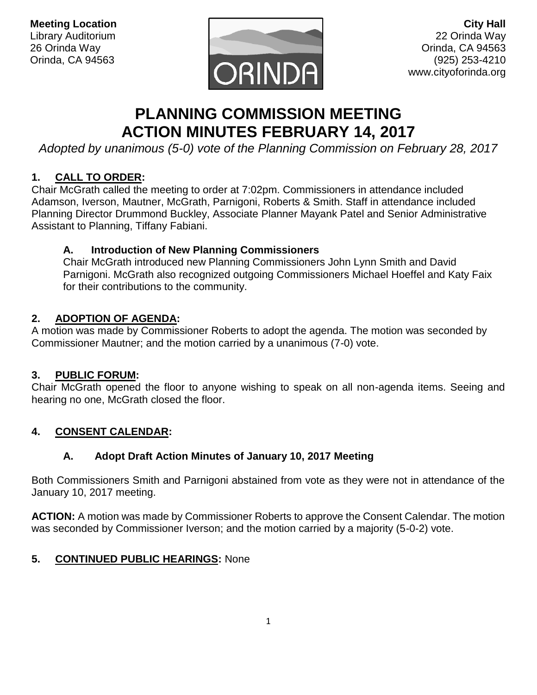

**City Hall** 22 Orinda Way Orinda, CA 94563 (925) 253-4210 www.cityoforinda.org

# **PLANNING COMMISSION MEETING ACTION MINUTES FEBRUARY 14, 2017**

*Adopted by unanimous (5-0) vote of the Planning Commission on February 28, 2017*

## **1. CALL TO ORDER:**

Chair McGrath called the meeting to order at 7:02pm. Commissioners in attendance included Adamson, Iverson, Mautner, McGrath, Parnigoni, Roberts & Smith. Staff in attendance included Planning Director Drummond Buckley, Associate Planner Mayank Patel and Senior Administrative Assistant to Planning, Tiffany Fabiani.

## **A. Introduction of New Planning Commissioners**

Chair McGrath introduced new Planning Commissioners John Lynn Smith and David Parnigoni. McGrath also recognized outgoing Commissioners Michael Hoeffel and Katy Faix for their contributions to the community.

## **2. ADOPTION OF AGENDA:**

A motion was made by Commissioner Roberts to adopt the agenda. The motion was seconded by Commissioner Mautner; and the motion carried by a unanimous (7-0) vote.

#### **3. PUBLIC FORUM:**

Chair McGrath opened the floor to anyone wishing to speak on all non-agenda items. Seeing and hearing no one, McGrath closed the floor.

## **4. CONSENT CALENDAR:**

## **A. Adopt Draft Action Minutes of January 10, 2017 Meeting**

Both Commissioners Smith and Parnigoni abstained from vote as they were not in attendance of the January 10, 2017 meeting.

**ACTION:** A motion was made by Commissioner Roberts to approve the Consent Calendar. The motion was seconded by Commissioner Iverson; and the motion carried by a majority (5-0-2) vote.

## **5. CONTINUED PUBLIC HEARINGS:** None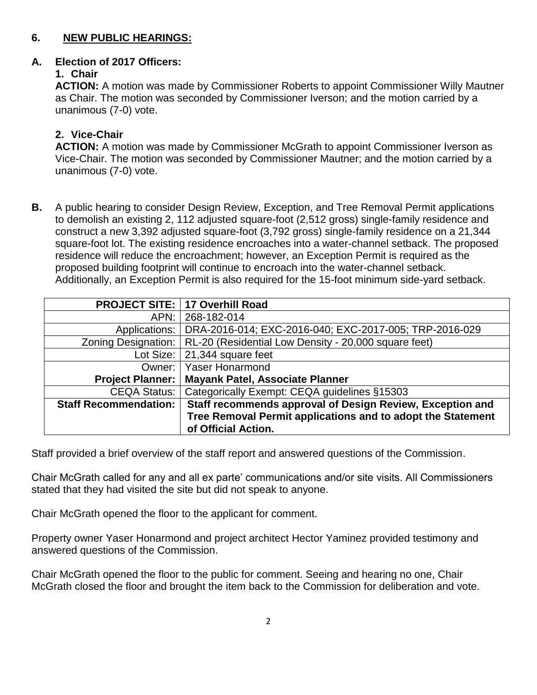## **6. NEW PUBLIC HEARINGS:**

#### **A. Election of 2017 Officers:**

## **1. Chair**

**ACTION:** A motion was made by Commissioner Roberts to appoint Commissioner Willy Mautner as Chair. The motion was seconded by Commissioner Iverson; and the motion carried by a unanimous (7-0) vote.

# **2. Vice-Chair**

**ACTION:** A motion was made by Commissioner McGrath to appoint Commissioner Iverson as Vice-Chair. The motion was seconded by Commissioner Mautner; and the motion carried by a unanimous (7-0) vote.

**B.** A public hearing to consider Design Review, Exception, and Tree Removal Permit applications to demolish an existing 2, 112 adjusted square-foot (2,512 gross) single-family residence and construct a new 3,392 adjusted square-foot (3,792 gross) single-family residence on a 21,344 square-foot lot. The existing residence encroaches into a water-channel setback. The proposed residence will reduce the encroachment; however, an Exception Permit is required as the proposed building footprint will continue to encroach into the water-channel setback. Additionally, an Exception Permit is also required for the 15-foot minimum side-yard setback.

|                              | <b>PROJECT SITE:   17 Overhill Road</b>                     |
|------------------------------|-------------------------------------------------------------|
| APN:                         | 268-182-014                                                 |
| Applications:                | DRA-2016-014; EXC-2016-040; EXC-2017-005; TRP-2016-029      |
| Zoning Designation:          | RL-20 (Residential Low Density - 20,000 square feet)        |
| Lot Size:                    | 21,344 square feet                                          |
| Owner:                       | <b>Yaser Honarmond</b>                                      |
| <b>Project Planner:</b>      | <b>Mayank Patel, Associate Planner</b>                      |
| <b>CEQA Status:</b>          | Categorically Exempt: CEQA guidelines §15303                |
| <b>Staff Recommendation:</b> | Staff recommends approval of Design Review, Exception and   |
|                              | Tree Removal Permit applications and to adopt the Statement |
|                              | of Official Action.                                         |

Staff provided a brief overview of the staff report and answered questions of the Commission.

Chair McGrath called for any and all ex parte' communications and/or site visits. All Commissioners stated that they had visited the site but did not speak to anyone.

Chair McGrath opened the floor to the applicant for comment.

Property owner Yaser Honarmond and project architect Hector Yaminez provided testimony and answered questions of the Commission.

Chair McGrath opened the floor to the public for comment. Seeing and hearing no one, Chair McGrath closed the floor and brought the item back to the Commission for deliberation and vote.